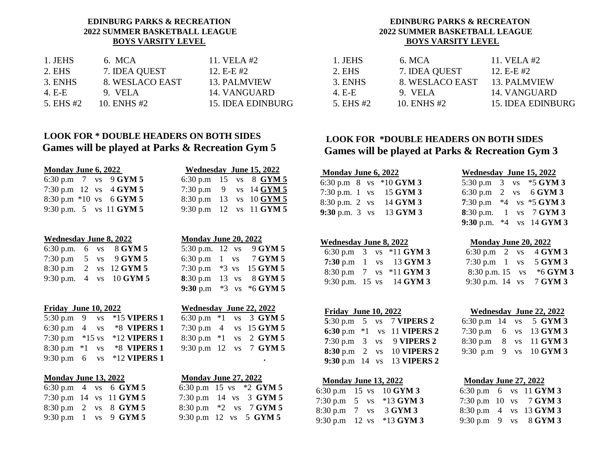## **EDINBURG PARKS & RECREATION 2022 SUMMER BASKETBALL LEAGUE BOYS VARSITY LEVEL**

| 1. JEHS   | 6. MCA          | 11. VELA $#2$     |
|-----------|-----------------|-------------------|
| 2. EHS    | 7. IDEA QUEST   | 12. $E-E#2$       |
| 3. ENHS   | 8. WESLACO EAST | 13. PALMVIEW      |
| 4. E-E    | 9. VELA         | 14. VANGUARD      |
| 5. EHS #2 | 10. ENHS #2     | 15. IDEA EDINBURG |

# **LOOK FOR \* DOUBLE HEADERS ON BOTH SIDES Games will be played at Parks & Recreation Gym 5**

| <b>Monday June 6, 2022</b> |  |                           |  | Wednesday June 15, 2022     |  |
|----------------------------|--|---------------------------|--|-----------------------------|--|
|                            |  | 6:30 p.m 7 vs $9$ GYM 5   |  | 6:30 p.m 15 vs 8 $GYM 5$    |  |
|                            |  | 7:30 p.m 12 vs $4$ GYM 5  |  | 7:30 p.m 9 vs $14$ GYM 5    |  |
|                            |  | 8:30 p.m $*10$ vs 6 GYM 5 |  | 8:30 p.m 13 vs 10 GYM 5     |  |
|                            |  | 9:30 p.m. 5 vs 11 GYM 5   |  | 9:30 p.m $12$ vs $11$ GYM 5 |  |

| <b>Wednesday June 8, 2022</b> |  |                                             | Monday June 20, 2022 |  |                                                                          |
|-------------------------------|--|---------------------------------------------|----------------------|--|--------------------------------------------------------------------------|
|                               |  | 6:30 p.m. 6 vs $8$ GYM 5                    |                      |  | 5:30 p.m. $12 \text{ vs } 9 \text{ GYM } 5$                              |
|                               |  | 7:30 p.m $5$ vs $9$ GYM 5                   |                      |  | 6:30 p.m $1$ vs $7$ GYM 5                                                |
|                               |  | 8:30 p.m 2 vs $12$ GYM 5                    |                      |  | 7:30 p.m *3 vs 15 GYM 5                                                  |
|                               |  | 9:30 p.m. $4 \text{ vs } 10 \text{ GYM } 5$ |                      |  | 8:30 p.m 13 vs 8 GYM 5                                                   |
|                               |  |                                             |                      |  | $0.20$ $\sqrt{2}$ $\sqrt{2}$ $\sqrt{2}$ $\sqrt{2}$ $\sqrt{2}$ $\sqrt{2}$ |

| Friday June 10, 2022 |  |                                   | Wednesday June 22, 2022 |  |                            |
|----------------------|--|-----------------------------------|-------------------------|--|----------------------------|
|                      |  | 5:30 p.m 9 vs *15 <b>VIPERS 1</b> |                         |  | 6:30 p.m $*1$ vs 3 GYM 5   |
|                      |  | 6:30 p.m $4$ vs $*8$ VIPERS 1     |                         |  | 7:30 p.m $4$ vs $15$ GYM 5 |
|                      |  | 7:30 p.m $*15$ vs $*12$ VIPERS 1  |                         |  | 8:30 p.m $*1$ vs 2 GYM 5   |
|                      |  | 8:30 p.m $*1$ vs $*8$ VIPERS 1    |                         |  | 9:30 p.m 12 vs 7 $GYM 5$   |
|                      |  | 9:30 p.m 6 vs *12 VIPERS 1        |                         |  | $\bullet$                  |

|--|

|  | 6:30 p.m 4 vs 6 $GYM 5$                            |  | 6:30 p.m 15 vs $*2$ GYM 5    |
|--|----------------------------------------------------|--|------------------------------|
|  | 7:30 p.m $14$ vs $11$ GYM 5                        |  | 7:30 p.m 14 vs 3 $GYM$ 5     |
|  | $8:30 \text{ p.m } 2 \text{ vs } 8 \text{ GYM } 5$ |  | 8:30 p.m $*2$ vs 7 GYM 5     |
|  | 9:30 p.m 1 vs 9 $GYM 5$                            |  | 9:30 p.m $12$ vs $5$ GYM $5$ |

| Vednesday June 15, 2022 |    |  |                      |
|-------------------------|----|--|----------------------|
|                         |    |  | 30 p.m 15 vs 8 GYM 5 |
| 30 p.m                  | 9  |  | vs 14 GYM 5          |
| 30 p.m                  | 13 |  | $vs$ 10 GYM 5        |
| 30 p.m                  |    |  | 12 vs 11 GYM 5       |

| <b>Monday June 20, 2022</b> |         |                  |          |
|-----------------------------|---------|------------------|----------|
| 5:30 p.m. 12 vs             |         |                  | 9 GYM 5  |
| 6:30 p.m $1$                |         | <b>VS</b>        | 7 GYM 5  |
| 7:30 p.m                    | $*3$ vs |                  | 15 GYM 5 |
| 8:30 p.m                    |         | $13 \text{ vs }$ | 8 GYM 5  |

| <b>Wednesday June 22, 2022</b> |  |  |
|--------------------------------|--|--|
| 6:30 p.m $*1$ vs 3 GYM 5       |  |  |
| 7:30 p.m 4 vs 15 GYM 5         |  |  |
| 8:30 p.m *1 vs 2 GYM 5         |  |  |
| 9:30 p.m 12 vs 7 GYM 5         |  |  |

**9:30** p.m \*3 vs \*6 **GYM 5**

|  | <b>Monday June 13, 2022</b> | <b>Monday June 27, 2022</b> | <b>Monday June 1</b>              |  |  |
|--|-----------------------------|-----------------------------|-----------------------------------|--|--|
|  | 6:30 p.m 4 vs 6 $GYM 5$     | 6:30 p.m 15 vs $*2$ GYM 5   | 6:30 p.m $15$ vs                  |  |  |
|  | 7:30 p.m 14 vs 11 $GYM 5$   | 7:30 p.m 14 vs 3 $GYM 5$    | 7:30 p.m $5$ vs                   |  |  |
|  | 8:30 p.m 2 vs 8 GYM 5       | 8:30 p.m $*2$ vs 7 GYM 5    | $8:30 \text{ p.m } 7 \text{ vs }$ |  |  |
|  | 9:30 p.m $1$ vs 9 GYM 5     | 9:30 p.m 12 vs 5 $GYM 5$    | 9:30 p.m $12$ vs                  |  |  |

## **EDINBURG PARKS & RECREATON 2022 SUMMER BASKETBALL LEAGUE BOYS VARSITY LEVEL**

| 1. JEHS   | 6. MCA          | 11. VELA #2       |
|-----------|-----------------|-------------------|
| 2. EHS    | 7. IDEA QUEST   | 12. $E-E#2$       |
| 3. ENHS   | 8. WESLACO EAST | 13. PALMVIEW      |
| 4. E-E    | 9. VELA         | 14. VANGUARD      |
| 5. EHS #2 | 10. ENHS #2     | 15. IDEA EDINBURG |

## **LOOK FOR \*DOUBLE HEADERS ON BOTH SIDES Games will be played at Parks & Recreation Gym 3**

| Monday June 6, 2022<br>Wednesday June 15, 2022                                  |
|---------------------------------------------------------------------------------|
| 6:30 p.m 8 vs $*10$ GYM 3<br>5:30 p.m $3$ vs $*5$ GYM 3                         |
| 7:30 p.m. 1 vs $15$ GYM 3<br>6:30 p.m 2 vs 6 GYM 3                              |
| 7:30 p.m $*4$ vs $*5$ GYM 3<br>8:30 p.m. 2 vs $14$ GYM 3                        |
| <b>8</b> :30 p.m. 1 vs $7$ GYM 3<br>9:30 p.m. $3 \text{ vs } 13 \text{ GYM } 3$ |

#### **Wednesday June 8, 2022 Monday June 20, 2022**

|  | 6:30 p.m $3$ vs $*11$ GYM 3                    | 6:30 p.m 2 vs $4$ GYM 3                   |  |
|--|------------------------------------------------|-------------------------------------------|--|
|  | 7:30 p.m $1$ vs $13$ GYM 3                     | 7:30 p.m $1 \text{ vs } 5 \text{ GYM } 3$ |  |
|  | 8:30 p.m $7 \text{ vs } ^{*}11 \text{ GYM } 3$ | 8:30 p.m. 15 vs $*6$ GYM 3                |  |
|  | 9:30 p.m. $15 \text{ vs } 14 \text{ GYM } 3$   | 9:30 p.m. 14 vs $7$ GYM 3                 |  |

|  | <b>Friday June 10, 2022</b> |  |
|--|-----------------------------|--|
|  |                             |  |

|  |  | 5:30 p.m $\,$ 5 $\,$ vs $\,$ 7 VIPERS 2 |  | 6:30 p.m 14 vs $5$ GYM 3 |
|--|--|-----------------------------------------|--|--------------------------|
|  |  | 6:30 p.m $*1$ vs 11 VIPERS 2            |  | 7:30 p.m 6 vs 13 GYM 3   |
|  |  | 7:30 p.m $\,$ 3 vs $\,$ 9 VIPERS 2      |  | 8:30 p.m 8 vs 11 GYM 3   |
|  |  | <b>8:30</b> p.m 2 vs 10 <b>VIPERS 2</b> |  | 9:30 p.m 9 vs $10$ GYM 3 |
|  |  | 9:30 p.m 14 vs 13 VIPERS 2              |  |                          |

| Monday June 13, 2022 |                                           | Monday June 27, 2022 |  |  |                          |
|----------------------|-------------------------------------------|----------------------|--|--|--------------------------|
|                      | 6:30 p.m 15 vs 10 GYM 3                   |                      |  |  | 6:30 p.m 6 vs $11$ GYM 3 |
|                      | 7:30 p.m $5$ vs $*13$ GYM 3               |                      |  |  | 7:30 p.m 10 vs $7$ GYM 3 |
|                      | 8:30 p.m $7 \text{ vs } 3 \text{ GYM } 3$ |                      |  |  | 8:30 p.m 4 vs 13 GYM 3   |
|                      | 9:30 p.m 12 vs $*13$ GYM 3                |                      |  |  | 9:30 p.m 9 vs $8$ GYM 3  |

| Monday June 6, 2022         | Wednesday June 15, 2022 |  |                                        |
|-----------------------------|-------------------------|--|----------------------------------------|
| 6:30 p.m $8$ vs $*10$ GYM 3 |                         |  | 5:30 p.m $3$ vs $*5$ GYM 3             |
| 7:30 p.m. 1 vs $15$ GYM 3   |                         |  | 6:30 p.m 2 vs 6 GYM 3                  |
| 8:30 p.m. 2 vs 14 GYM 3     |                         |  | 7:30 p.m $*4$ vs $*5$ GYM 3            |
| 9:30 p.m. $3$ vs 13 GYM $3$ |                         |  | <b>8:30 p.m.</b> 1 vs $7$ <b>GYM 3</b> |
|                             |                         |  | 9:30 p.m. $*4$ vs 14 GYM 3             |

| 6:30 p.m $2 \text{ vs }$ |           | 4 GYM 3  |
|--------------------------|-----------|----------|
| $7:30 \text{ p.m } 1$    | <b>VS</b> | 5 GYM 3  |
| $8:30$ p.m. 15           | <b>VS</b> | *6 GYM 3 |
| 9:30 p.m. $14$ vs        |           | 7 GYM 3  |

| Friday June 10, 2022 |  |                                         | Wednesday June 22, 2022 |  |  |                            |
|----------------------|--|-----------------------------------------|-------------------------|--|--|----------------------------|
|                      |  | 5:30 p.m $\,$ 5 $\,$ vs $\,$ 7 VIPERS 2 |                         |  |  | 6:30 p.m $14$ vs $5$ GYM 3 |
|                      |  | 6:30 p.m $*1$ vs 11 VIPERS 2            |                         |  |  | 7:30 p.m 6 vs 13 GYM 3     |
|                      |  | 7:30 p.m $\,$ 3 vs $\,$ 9 VIPERS 2      |                         |  |  | 8:30 p.m 8 vs 11 GYM 3     |
|                      |  | <b>8:30</b> p.m 2 vs 10 <b>VIPERS 2</b> |                         |  |  | 9:30 p.m 9 vs $10$ GYM 3   |
|                      |  |                                         |                         |  |  |                            |

| Monday June 27, 2022 |  |  |                          |  |  |  |  |  |
|----------------------|--|--|--------------------------|--|--|--|--|--|
|                      |  |  | 6:30 p.m 6 vs 11 GYM 3   |  |  |  |  |  |
|                      |  |  | 7:30 p.m 10 vs $7$ GYM 3 |  |  |  |  |  |
|                      |  |  | 8:30 p.m 4 vs 13 GYM 3   |  |  |  |  |  |
|                      |  |  | 9:30 p.m 9 vs $8$ GYM 3  |  |  |  |  |  |